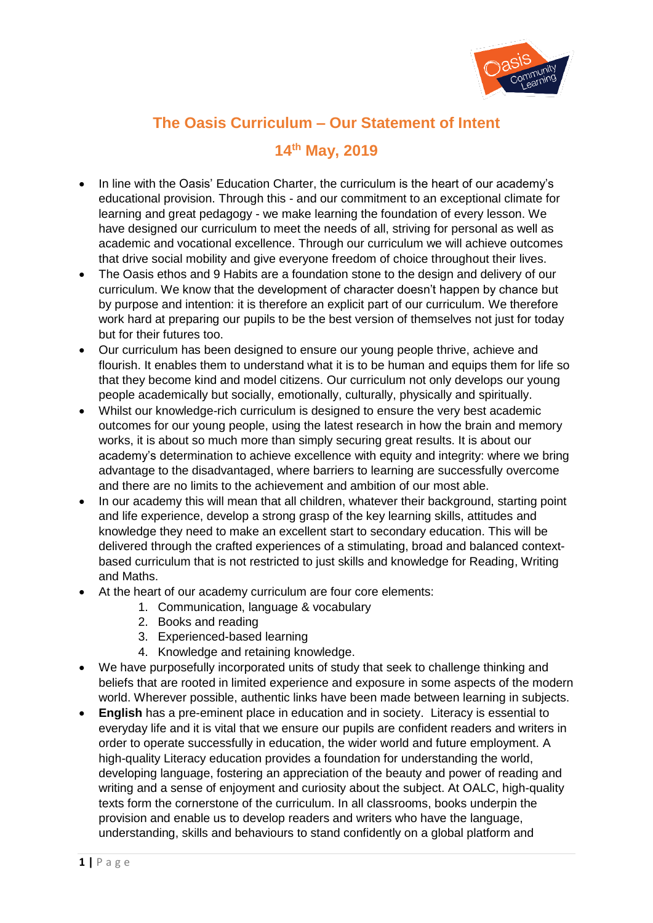

## **The Oasis Curriculum – Our Statement of Intent**

## **14th May, 2019**

- In line with the Oasis' Education Charter, the curriculum is the heart of our academy's educational provision. Through this - and our commitment to an exceptional climate for learning and great pedagogy - we make learning the foundation of every lesson. We have designed our curriculum to meet the needs of all, striving for personal as well as academic and vocational excellence. Through our curriculum we will achieve outcomes that drive social mobility and give everyone freedom of choice throughout their lives.
- The Oasis ethos and 9 Habits are a foundation stone to the design and delivery of our curriculum. We know that the development of character doesn't happen by chance but by purpose and intention: it is therefore an explicit part of our curriculum. We therefore work hard at preparing our pupils to be the best version of themselves not just for today but for their futures too.
- Our curriculum has been designed to ensure our young people thrive, achieve and flourish. It enables them to understand what it is to be human and equips them for life so that they become kind and model citizens. Our curriculum not only develops our young people academically but socially, emotionally, culturally, physically and spiritually.
- Whilst our knowledge-rich curriculum is designed to ensure the very best academic outcomes for our young people, using the latest research in how the brain and memory works, it is about so much more than simply securing great results. It is about our academy's determination to achieve excellence with equity and integrity: where we bring advantage to the disadvantaged, where barriers to learning are successfully overcome and there are no limits to the achievement and ambition of our most able.
- In our academy this will mean that all children, whatever their background, starting point and life experience, develop a strong grasp of the key learning skills, attitudes and knowledge they need to make an excellent start to secondary education. This will be delivered through the crafted experiences of a stimulating, broad and balanced contextbased curriculum that is not restricted to just skills and knowledge for Reading, Writing and Maths.
- At the heart of our academy curriculum are four core elements:
	- 1. Communication, language & vocabulary
	- 2. Books and reading
	- 3. Experienced-based learning
	- 4. Knowledge and retaining knowledge.
- We have purposefully incorporated units of study that seek to challenge thinking and beliefs that are rooted in limited experience and exposure in some aspects of the modern world. Wherever possible, authentic links have been made between learning in subjects.
- **English** has a pre-eminent place in education and in society. Literacy is essential to everyday life and it is vital that we ensure our pupils are confident readers and writers in order to operate successfully in education, the wider world and future employment. A high-quality Literacy education provides a foundation for understanding the world, developing language, fostering an appreciation of the beauty and power of reading and writing and a sense of enjoyment and curiosity about the subject. At OALC, high-quality texts form the cornerstone of the curriculum. In all classrooms, books underpin the provision and enable us to develop readers and writers who have the language, understanding, skills and behaviours to stand confidently on a global platform and